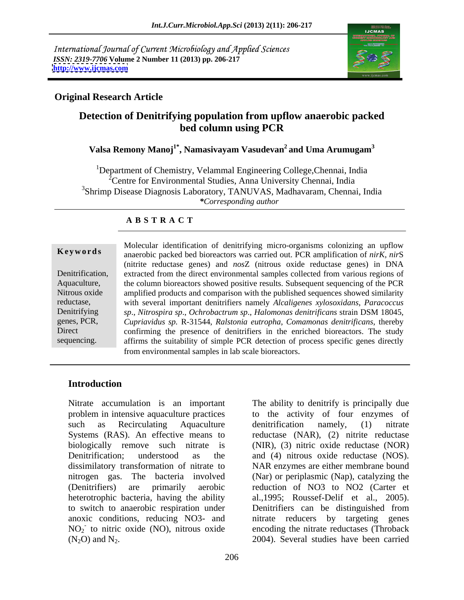International Journal of Current Microbiology and Applied Sciences *ISSN: 2319-7706* **Volume 2 Number 11 (2013) pp. 206-217 <http://www.ijcmas.com>**



#### **Original Research Article**

### **Detection of Denitrifying population from upflow anaerobic packed bed column using PCR**

#### **Valsa Remony Manoj<sup>1\*</sup>, Namasivayam Vasudevan<sup>2</sup> and Uma Arumugam<sup>3</sup> and Uma Arumugam<sup>3</sup>**

<sup>1</sup>Department of Chemistry, Velammal Engineering College, Chennai, India 2Centre for Environmental Studies, Anna University Chennai, India <sup>3</sup>Shrimp Disease Diagnosis Laboratory, TANUVAS, Madhavaram, Chennai, India *\*Corresponding author* 

#### **A B S T R A C T**

**Ke ywo rds** anaerobic packed bed bioreactors was carried out. PCR amplification of *nirK*, *nir*S Denitrification, extracted from the direct environmental samples collected from various regions of Aquaculture, the column bioreactors showed positive results. Subsequent sequencing of the PCR Nitrous oxide amplified products and comparison with the published sequences showed similarity reductase, with several important denitrifiers namely *Alcaligenes xylosoxidans*, *Paracoccus*  Denitrifying *sp*., *Nitrospira sp*., *Ochrobactrum sp*., *Halomonas denitrificans* strain DSM 18045, genes, PCR, *Cupriavidus sp.* R-31544, *Ralstonia eutropha*, *Comamonas denitrificans*, thereby Direct confirming the presence of denitrifiers in the enriched bioreactors. The study Molecular identification of denitrifying micro-organisms colonizing an upflow<br>
anaerobic packed bed bioreactors was carried out. PCR amplification of *nirK*, *nirS*<br>
(nitrite reductase genes) and *nosZ* (nitrous oxide redu (nitrite reductase genes) and *nos*Z (nitrous oxide reductase genes) in DNA affirms the suitability of simple PCR detection of process specific genes directly from environmental samples in lab scale bioreactors.

#### **Introduction**

Nitrate accumulation is an important The ability to denitrify is principally due Denitrification; understood as the and (4) nitrous oxide reductase (NOS). dissimilatory transformation of nitrate to NAR enzymes are either membrane bound heterotrophic bacteria, having the ability Nitrate accumulation is an important<br>
problem in intensive aquaculture practices<br>
to the activity of four enzymes of<br>
such as Recirculating Aquaculture denitrification namely, (1) nitrate<br>
systems (RAS). An effective mean

problem in intensive aquaculture practices to the activity of four enzymes of such as Recirculating Aquaculture denitrification namely, (1) nitrate Systems (RAS). An effective means to reductase (NAR), (2) nitrite reductase biologically remove such nitrate is (NIR), (3) nitric oxide reductase (NOR) nitrogen gas. The bacteria involved (Nar) or periplasmic (Nap), catalyzing the (Denitrifiers) are primarily aerobic reduction of NO3 to NO2 (Carter et to switch to anaerobic respiration under Denitrifiers can be distinguished from anoxic conditions, reducing NO3- and nitrate reducers by targeting genes NO<sub>2</sub> to nitric oxide (NO), nitrous oxide encoding the nitrate reductases (Throback denitrification namely, (1) nitrate and (4) nitrous oxide reductase (NOS).<br>NAR enzymes are either membrane bound al.,1995; Roussef-Delif et al., 2005). 2004). Several studies have been carried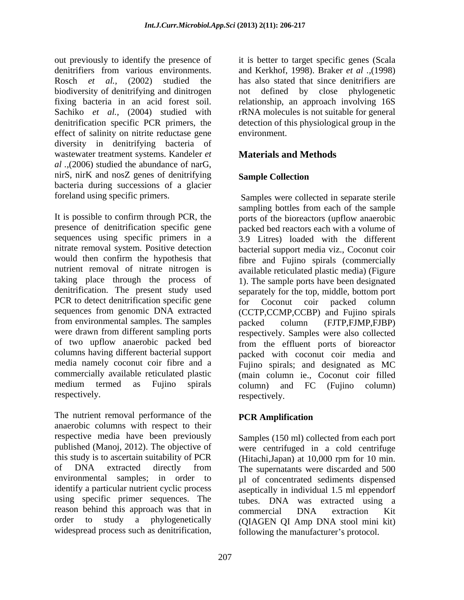out previously to identify the presence of it is better to target specific genes (Scala denitrifiers from various environments. and Kerkhof, 1998). Braker *et al .,*(1998) Rosch *et al.,* (2002) studied the has also stated that since denitrifiers are biodiversity of denitrifying and dinitrogen hot defined by close phylogenetic fixing bacteria in an acid forest soil. relationship, an approach involving 16S Sachiko *et al.*, (2004) studied with rRNA molecules is not suitable for general denitrification specific PCR primers, the detection of this physiological group in the effect of salinity on nitrite reductase gene environment. diversity in denitrifying bacteria of wastewater treatment systems. Kandeler *et al .,*(2006) studied the abundance of narG, nirS, nirK and nosZ genes of denitrifying Sample Collection bacteria during successions of a glacier

It is possible to confirm through PCR, the ports of the bioreactors (upflow anaerobic presence of denitrification specific gene packed bed reactors each with a volume of sequences using specific primers in a 3.9 Litres) loaded with the different nitrate removal system. Positive detection bacterial support media viz., Coconut coir would then confirm the hypothesis that fibre and Fujino spirals (commercially nutrient removal of nitrate nitrogen is available reticulated plastic media) (Figure taking place through the process of 1). The sample ports have been designated denitrification. The present study used separately for the top, middle, bottom port PCR to detect denitrification specific gene for Coconut coir packed column sequences from genomic DNA extracted (CCTP,CCMP,CCBP) and Fujino spirals from environmental samples. The samples  $\overrightarrow{packet}$  column (FJTP, FJMP, FJBP) were drawn from different sampling ports respectively. Samples were also collected of two upflow anaerobic packed bed from the effluent ports of bioreactor columns having different bacterial support media namely coconut coir fibre and a Fujino spirals; and designated as MC commercially available reticulated plastic (main column ie., Coconut coir filled medium termed as Fujino spirals column) and FC (Fujino column) respectively. The respectively.

The nutrient removal performance of the **PCR Amplification** anaerobic columns with respect to their respective media have been previously published (Manoj, 2012). The objective of were centrifuged in a cold centrifuge this study is to ascertain suitability of PCR (Hitachi,Japan) at 10,000 rpm for 10 min. of DNA extracted directly from The supernatants were discarded and 500 environmental samples; in order to  $\mu$ l of concentrated sediments dispensed identify a particular nutrient cyclic process aseptically in individual 1.5 ml eppendorf using specific primer sequences. The tubes. DNA was extracted using a reason behind this approach was that in commercial DNA extraction Kit order to study a phylogenetically (QIAGEN QI Amp DNA stool mini kit) widespread process such as denitrification,

not defined by close phylogenetic environment.

## **Materials and Methods**

#### **Sample Collection**

foreland using specific primers. Samples were collected in separate sterile sampling bottles from each of the sample for Coconut coir packed column packed column (FJTP,FJMP,FJBP) packed with coconut coir media and column) and FC (Fujino column) respectively.

#### **PCR Amplification**

Samples (150 ml) collected from each port commercial DNA extraction Kit following the manufacturer's protocol.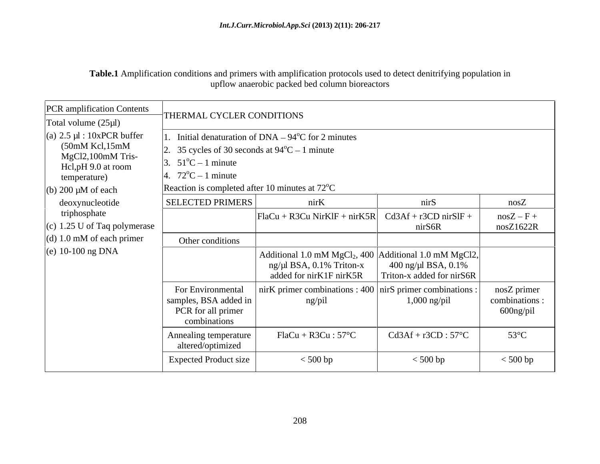**Table.1** Amplification conditions and primers with amplification protocols used to detect denitrifying population in upflow anaerobic packed bed column bioreactors

| PCR amplification Contents<br>Total volume $(25\mu l)$                                                                                       | THERMAL CYCLER CONDITIONS                                                                                                                                                       |                                                                                                                    |                                                  |                                            |
|----------------------------------------------------------------------------------------------------------------------------------------------|---------------------------------------------------------------------------------------------------------------------------------------------------------------------------------|--------------------------------------------------------------------------------------------------------------------|--------------------------------------------------|--------------------------------------------|
| (a) $2.5 \mu l$ : 10xPCR buffer<br>$(50mM$ Kcl, $15mM$<br>MgCl2,100mM Tris-<br>Hcl,pH 9.0 at room<br>temperature)<br>(b) $200 \mu M$ of each | . 35 cycles of 30 seconds at $94^{\circ}C - 1$ minute<br>3. $51^{\circ}C - 1$ minute<br>4. $72^{\circ}C - 1$ minute<br>Reaction is completed after 10 minutes at $72^{\circ}$ C | Initial denaturation of $DNA - 94^{\circ}C$ for 2 minutes                                                          |                                                  |                                            |
| deoxynucleotide<br>triphosphate                                                                                                              | <b>SELECTED PRIMERS</b>                                                                                                                                                         | nirK                                                                                                               | nirS                                             | nosZ                                       |
| $(c)$ 1.25 U of Taq polymerase                                                                                                               |                                                                                                                                                                                 | $\begin{bmatrix} \text{FlaCu} + \text{R3Cu} \text{ NirKIF} + \text{nirK5R} \end{bmatrix}$ Cd3Af + r3CD nirSIF +    | nirS6R                                           | $nosZ-F+$<br>nosZ1622R                     |
| $(d)$ 1.0 mM of each primer                                                                                                                  | Other conditions                                                                                                                                                                |                                                                                                                    |                                                  |                                            |
| (e) $10-100$ ng DNA                                                                                                                          |                                                                                                                                                                                 | Additional 1.0 mM $MgCl2$ , 400 Additional 1.0 mM $MgCl2$<br>$ng/µl$ BSA, 0.1% Triton-x<br>added for nirK1F nirK5R | 400 ng/µl BSA, 0.1%<br>Triton-x added for nirS6R |                                            |
|                                                                                                                                              | For Environmental<br>samples, BSA added in<br>PCR for all primer<br>combinations                                                                                                | nirK primer combinations : $400$ nirS primer combinations :<br>ng/pil                                              | 1,000 ng/pil                                     | nosZ primer<br>combinations :<br>600ng/pil |
|                                                                                                                                              | Annealing temperature<br>altered/optimized                                                                                                                                      | $FlaCu + R3Cu : 57^{\circ}C$                                                                                       | $Cd3Af + r3CD : 57^{\circ}C$                     | $53^{\circ}$ C                             |
|                                                                                                                                              | <b>Expected Product size</b>                                                                                                                                                    | $< 500$ bp                                                                                                         | $<$ 500 bp                                       | $< 500$ bp                                 |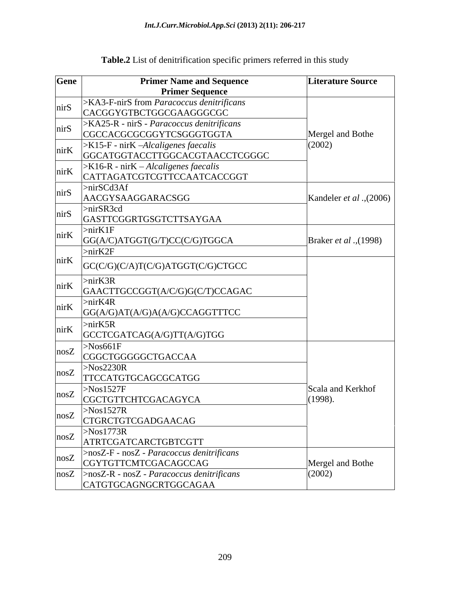| Gene | <b>Primer Name and Sequence</b><br><b>Primer Sequence</b>                           | <b>Literature Source</b>     |
|------|-------------------------------------------------------------------------------------|------------------------------|
| nirS | >KA3-F-nirS from Paracoccus denitrificans<br>CACGGYGTBCTGGCGAAGGGCGC                |                              |
| nirS | >KA25-R - nirS - Paracoccus denitrificans<br>CGCCACGCGCGGYTCSGGGTGGTA               | Mergel and Bothe             |
| nirK | >K15-F - nirK -Alcaligenes faecalis<br>GGCATGGTACCTTGGCACGTAACCTCGGGC               | (2002)                       |
| nirK | >K16-R - nirK – Alcaligenes faecalis<br>CATTAGATCGTCGTTCCAATCACCGGT                 |                              |
| nirS | $>$ nirSCd3Af<br>AACGYSAAGGARACSGG                                                  | Kandeler et al., (2006)      |
| nirS | $>$ nirSR3cd<br>GASTTCGGRTGSGTCTTSAYGAA                                             |                              |
| nirK | $>$ nir $K1F$<br>GG(A/C)ATGGT(G/T)CC(C/G)TGGCA                                      | Braker et al., (1998)        |
| nirK | $>$ nirK2F                                                                          |                              |
|      | GC(C/G)(C/A)T(C/G)ATGGT(C/G)CTGCC<br>$>$ nirK3R                                     |                              |
| nirK | GAACTTGCCGGT(A/C/G)G(C/T)CCAGAC<br>$>$ nirK4R                                       |                              |
| nirK | GG(A/G)AT(A/G)A(A/G)CCAGGTTTCC                                                      |                              |
| nirK | $>$ nirK5R<br>GCCTCGATCAG(A/G)TT(A/G)TGG                                            |                              |
| nosZ | $>$ Nos661F<br>CGGCTGGGGGCTGACCAA                                                   |                              |
| nosZ | $>$ Nos2230R<br>TTCCATGTGCAGCGCATGG                                                 |                              |
| nosZ | >Nos1527F<br>CGCTGTTCHTCGACAGYCA                                                    | Scala and Kerkhof<br>(1998). |
|      | >Nos1527R<br>nosZ CIGRCTGTCGADGAACAG                                                |                              |
| nosZ | >Nos1773R<br>ATRTCGATCARCTGBTCGTT                                                   |                              |
| nosZ | >nosZ-F - nosZ - Paracoccus denitrificans<br>CGYTGTTCMTCGACAGCCAG                   | Mergel and Bothe             |
|      | $ nosZ  > nosZ-R - nosZ - Paracoccus denitrificans$<br><b>CATGTGCAGNGCRTGGCAGAA</b> | (2002)                       |

# **Table.2** List of denitrification specific primers referred in this study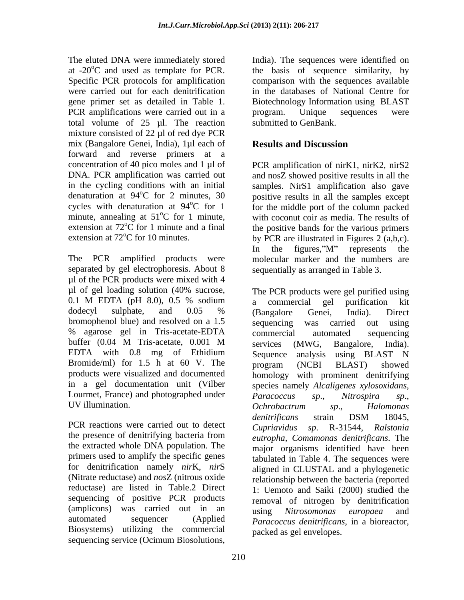The eluted DNA were immediately stored India). The sequences were identified on at  $-20^{\circ}$ C and used as template for PCR. the basis of sequence similarity, by Specific PCR protocols for amplification comparison with the sequences available were carried out for each denitrification in the databases of National Centre for gene primer set as detailed in Table 1. Biotechnology Information using BLAST PCR amplifications were carried out in a program. Unique sequences were total volume of 25 µl. The reaction mixture consisted of 22 µl of red dye PCR mix (Bangalore Genei, India), 1µl each of **Results and Discussion** forward and reverse primers at a concentration of 40 pico moles and 1 µl of PCR amplification of nirK1, nirK2, nirS2 DNA. PCR amplification was carried out in the cycling conditions with an initial samples. NirS1 amplification also gave denaturation at  $94^{\circ}$ C for 2 minutes, 30 positive results in all the samples except cycles with denaturation at  $94^{\circ}$ C for 1 for the middle port of the column packed minute, annealing at  $51^{\circ}$ C for 1 minute, with coconut coir as media. The results of extension at  $72^{\circ}$ C for 1 minute and a final the positive bands for the various primers

The PCR amplified products were molecular marker and the numbers are separated by gel electrophoresis. About 8 µl of the PCR products were mixed with 4 µl of gel loading solution (40% sucrose, bromophenol blue) and resolved on a 1.5 sequencing was carried out using % agarose gel in Tris-acetate-EDTA EDTA with 0.8 mg of Ethidium Sequence analysis using BLAST N Bromide/ml) for 1.5 h at 60 V. The program (NCBI BLAST) showed in a gel documentation unit (Vilber Lourmet, France) and photographed under  $\overrightarrow{P}$  *Paracoccus* sp., *Nitrospira* sp., UV illumination.  $Ochrobactrum$  sp., Halomonas

PCR reactions were carried out to detect Cupriavidus sp. the presence of denitrifying bacteria from the extracted whole DNA population. The primers used to amplify the specific genes for denitrification namely *nir*K, *nir*S reductase) are listed in Table.2 Direct sequencing of positive PCR products (amplicons) was carried out in an using Nitrosomonas europaea and Biosystems) utilizing the commercial sequencing service (Ocimum Biosolutions,

program. Unique sequences were submitted to GenBank.

### **Results and Discussion**

extension at  $72^{\circ}$ C for 10 minutes. by PCR are illustrated in Figures 2 (a,b,c). and nosZ showed positive results in all the In the figures,"M" represents the sequentially as arranged in Table 3.

0.1 M EDTA (pH 8.0), 0.5 % sodium a commercial gel purification kit dodecyl sulphate, and 0.05 % (Bangalore Genei, India). Direct buffer (0.04 M Tris-acetate, 0.001 M services (MWG, Bangalore, India). products were visualized and documented homology with prominent denitrifying (Nitrate reductase) and *nos*Z (nitrous oxide relationship between the bacteria (reported automated sequencer (Applied *Paracoccus denitrificans*, in a bioreactor, The PCR products were gel purified using a commercial gel purification kit (Bangalore Genei, India). Direct sequencing was carried out using commercial automated sequencing services (MWG, Bangalore, India). Sequence analysis using BLAST N program (NCBI BLAST) showed species namely *Alcaligenes xylosoxidans*, *Paracoccus sp*., *Nitrospira sp*., *Ochrobactrum sp*., *Halomonas denitrificans* strain DSM 18045, *Cupriavidus sp*. R-31544, *Ralstonia eutropha*, *Comamonas denitrificans*. The major organisms identified have been tabulated in Table 4. The sequences were aligned in CLUSTAL and a phylogenetic 1: Uemoto and Saiki (2000) studied the removal of nitrogen by denitrification using *Nitrosomonas europaea* and packed as gel envelopes.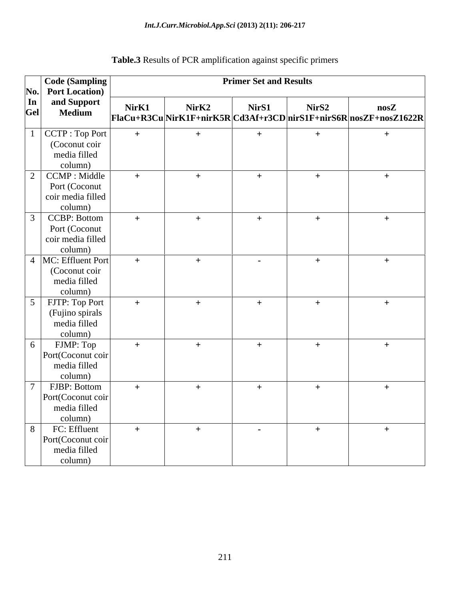| Code (Sampling                            | <b>Primer Set and Results</b> |       |                  |       |                                                                                       |
|-------------------------------------------|-------------------------------|-------|------------------|-------|---------------------------------------------------------------------------------------|
| No. Port Location)                        |                               |       |                  |       |                                                                                       |
| and Support<br>In<br>Gel<br><b>Medium</b> | NirK1                         | NirK2 | NirS1            | NirS2 | $\bf {nosZ}$<br>$ F1aCu+R3Cu NirK1F+nirK5R Cd3Af+r3CD nirS1F+nirS6R nosZF+nosZ1622R $ |
| $ $ CCTP : Top Port                       |                               | $+$   | $+$              | $+$   | $+$                                                                                   |
| (Coconut coir<br>media filled             |                               |       |                  |       |                                                                                       |
| column)                                   |                               |       |                  |       |                                                                                       |
| $2$ CCMP : Middle                         | $+$                           | $+$   | $+$              | $+$   | $+$                                                                                   |
| Port (Coconut                             |                               |       |                  |       |                                                                                       |
| coir media filled                         |                               |       |                  |       |                                                                                       |
| column)                                   |                               |       |                  |       |                                                                                       |
| <b>CCBP: Bottom</b><br>Port (Coconut      | $+$                           | $+$   | $+$              | $+$   | $+$                                                                                   |
| coir media filled                         |                               |       |                  |       |                                                                                       |
| column)                                   |                               |       |                  |       |                                                                                       |
| $\vert$ 4  MC: Effluent Port              | $+$                           | $+$   | $\sim$ $-$       | $+$   | $+$                                                                                   |
| (Coconut coir                             |                               |       |                  |       |                                                                                       |
| media filled<br>column)                   |                               |       |                  |       |                                                                                       |
| FJTP: Top Port                            | $+$                           | $+$   | $+$              | $+$   | $+$                                                                                   |
| (Fujino spirals                           |                               |       |                  |       |                                                                                       |
| media filled                              |                               |       |                  |       |                                                                                       |
| column)                                   |                               |       |                  |       |                                                                                       |
| FJMP: Top                                 | $+$                           | $+$   | $^{+}$           | $+$   | $+$                                                                                   |
| Port(Coconut coir                         |                               |       |                  |       |                                                                                       |
| media filled<br>column)                   |                               |       |                  |       |                                                                                       |
| FJBP: Bottom                              | $+$                           | $+$   | $+$              | $+$   |                                                                                       |
| Port(Coconut coir                         |                               |       |                  |       |                                                                                       |
| media filled                              |                               |       |                  |       |                                                                                       |
| column)                                   |                               |       |                  |       |                                                                                       |
| FC: Effluent                              | $+$                           | $+$   | $\sim$ 100 $\mu$ | $+$   | $+$                                                                                   |
| Port(Coconut coir<br>media filled         |                               |       |                  |       |                                                                                       |
| column)                                   |                               |       |                  |       |                                                                                       |
|                                           |                               |       |                  |       |                                                                                       |

# **Table.3** Results of PCR amplification against specific primers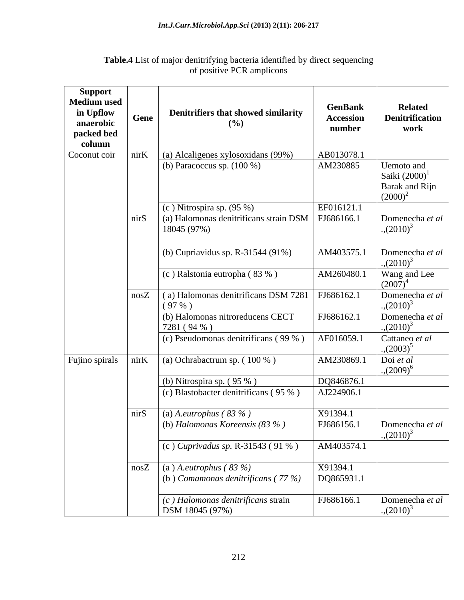| Support<br><b>Medium used</b><br>in Upflow<br>anaerobic<br>packed bed<br>column | Gene | Denitrifiers that showed similarity<br>(%)                | GenBank<br><b>Accession</b><br>number | <b>Related</b><br><b>Denitrification</b><br>work               |
|---------------------------------------------------------------------------------|------|-----------------------------------------------------------|---------------------------------------|----------------------------------------------------------------|
| Coconut coir                                                                    | nirK | (a) Alcaligenes xylosoxidans (99%)                        | AB013078.1                            |                                                                |
|                                                                                 |      | (b) Paracoccus sp. $(100\%)$                              | AM230885                              | Uemoto and<br>Saiki $(2000)^1$<br>Barak and Rijn<br>$(2000)^2$ |
|                                                                                 |      | $(c)$ Nitrospira sp. $(95%)$                              | EF016121.1                            |                                                                |
|                                                                                 | nirS | (a) Halomonas denitrificans strain DSM<br>18045 (97%)     | FJ686166.                             | Domenecha et al<br>$.(2010)^3$                                 |
|                                                                                 |      | (b) Cupriavidus sp. R-31544 $(91\%)$                      | AM403575.1                            | Domenecha et al<br>$(2010)^3$                                  |
|                                                                                 |      | (c) Ralstonia eutropha (83 %)                             | AM260480.1                            | Wang and Lee<br>$(2007)^4$                                     |
|                                                                                 |      | $\cos Z$ (a) Halomonas denitrificans DSM 7281<br>$(97\%)$ | FJ686162.1                            | Domenecha et al<br>$(2010)^3$                                  |
|                                                                                 |      | (b) Halomonas nitroreducens CECT<br>7281 (94 %)           | FJ686162.1                            | Domenecha et al<br>$(2010)^3$                                  |
|                                                                                 |      | (c) Pseudomonas denitrificans (99 %)                      | AF016059.1                            | Cattaneo et al<br>$(2003)^5$                                   |
| Fujino spirals                                                                  | nirK | (a) Ochrabactrum sp. $(100\%$ )                           | AM230869.1                            | Doi et al<br>$(2009)^6$                                        |
|                                                                                 |      | (b) Nitrospira sp. $(95\%$ )                              | DQ846876.1                            |                                                                |
|                                                                                 |      | (c) Blastobacter denitrificans (95 %)                     | AJ224906.1                            |                                                                |
|                                                                                 | nirS | (a) A.eutrophus ( $83\%$ )                                | X91394.1                              |                                                                |
|                                                                                 |      | (b) Halomonas Koreensis $(83%)$                           | FJ686156.1                            | Domenecha et al<br>$(2010)^3$                                  |
|                                                                                 |      | (c) Cuprivadus sp. R-31543 (91 %)                         | AM403574.1                            |                                                                |
|                                                                                 |      | $\cos Z$ (a) A.eutrophus (83 %)                           | X91394.1                              |                                                                |
|                                                                                 |      | (b) Comamonas denitrificans ( $77\%$ )                    | DQ865931.1                            |                                                                |
|                                                                                 |      | (c) Halomonas denitrificans strain<br>DSM 18045 (97%)     | FJ686166.1                            | Domenecha et al<br>$(2010)^3$                                  |

#### **Table.4** List of major denitrifying bacteria identified by direct sequencing of positive PCR amplicons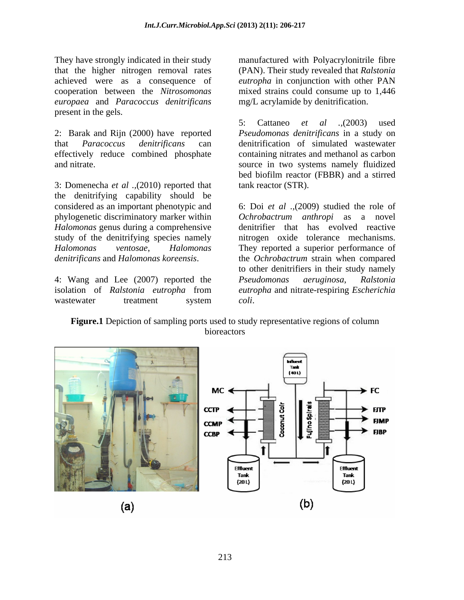that the higher nitrogen removal rates *europaea* and *Paracoccus denitrificans* present in the gels.

3: Domenecha *et al .,*(2010) reported that the denitrifying capability should be considered as an important phenotypic and 6: Doi *et al .,*(2009) studied the role of phylogenetic discriminatory marker within *Ochrobactrum anthropi* as a novel *Halomonas* genus during a comprehensive study of the denitrifying species namely *Halomonas ventosae*, *Halomonas*  They reported a superior performance of *denitrificans* and *Halomonas koreensis*. the *Ochrobactrum* strain when compared

4: Wang and Lee (2007) reported the *Pseudomonas aeruginosa*, Ralstonia

They have strongly indicated in their study manufactured with Polyacrylonitrile fibre achieved were as a consequence of *eutropha* in conjunction with other PAN cooperation between the *Nitrosomonas*  mixed strains could consume up to 1,446 (PAN). Their study revealed that *Ralstonia*  mg/L acrylamide by denitrification.

2: Barak and Rijn (2000) have reported *Pseudomonas denitrificans* in a study on that *Paracoccus denitrificans* can denitrification of simulated wastewater effectively reduce combined phosphate containing nitrates and methanol as carbon and nitrate. source in two systems namely fluidized 5: Cattaneo *et al .,*(2003) used bed biofilm reactor (FBBR) and a stirred tank reactor (STR).

isolation of *Ralstonia eutropha* from *eutropha* and nitrate-respiring *Escherichia*  wastewater treatment system coli. denitrifier that has evolved reactive nitrogen oxide tolerance mechanisms. to other denitrifiers in their study namely *Pseudomonas aeruginosa*, *Ralstonia coli*.

**Figure.1** Depiction of sampling ports used to study representative regions of column bioreactors

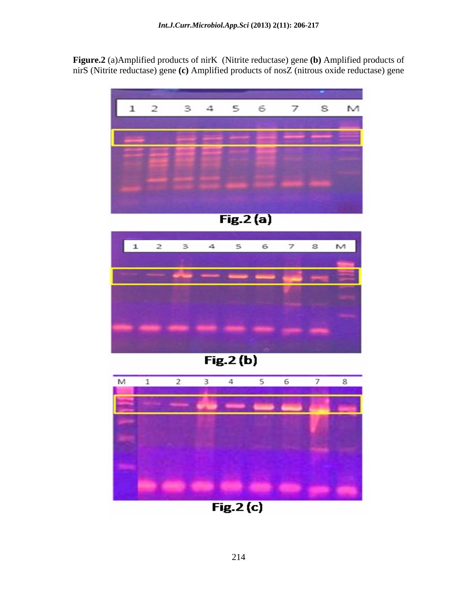**Figure.2** (a)Amplified products of nirK (Nitrite reductase) gene **(b)** Amplified products of nirS (Nitrite reductase) gene **(c)** Amplified products of nosZ (nitrous oxide reductase) gene





**COLLEGE**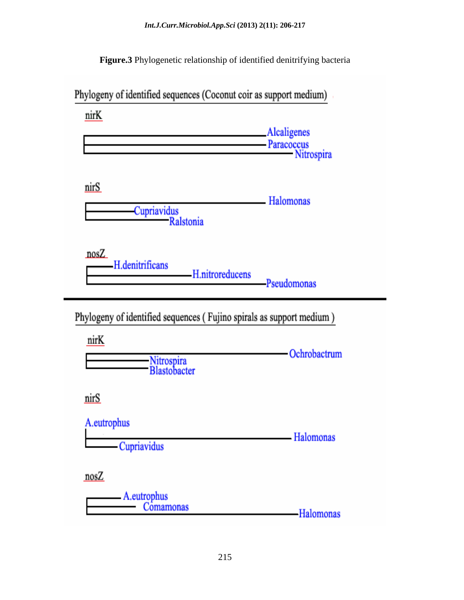**Figure.3** Phylogenetic relationship of identified denitrifying bacteria

nirK **Alcaligenes** - Paracoccus Nitrospira nirS **Halomonas** Cupriavidus<br>Ralstonia  $nosZ$ H.denitrificans H.nitroreducens Pseudomonas Phylogeny of identified sequences (Fujino spirals as support medium) nirK -Ochrobactrum Nitrospira<br>Blastobacter nirS A.eutrophus - Halomonas Cupriavidus nosZ A.eutrophus Comamonas -Halomonas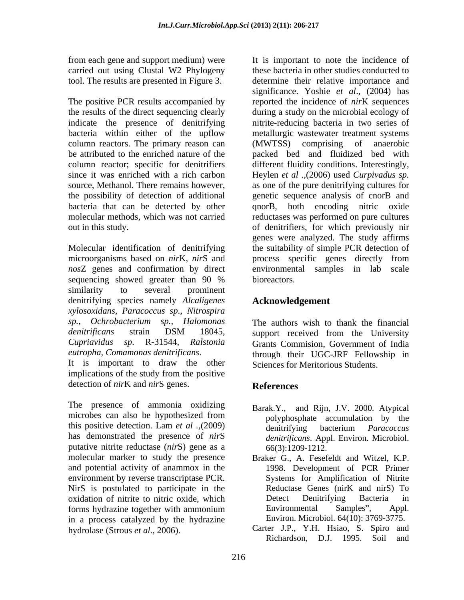carried out using Clustal W2 Phylogeny

column reactors. The primary reason can (MWTSS) comprising of anaerobic be attributed to the enriched nature of the the possibility of detection of additional

Molecular identification of denitrifying sequencing showed greater than 90 % bioreactors. similarity to several prominent denitrifying species namely *Alcaligenes xylosoxidans*, *Paracoccus sp*., *Nitrospira sp., Ochrobacterium sp., Halomonas* The authors wish to thank the financial *denitrificans* strain DSM 18045, *Cupriavidus sp*. R-31544, *Ralstonia*  Grants Commision, Government of India

It is important to draw the other implications of the study from the positive detection of *nir*K and *nir*S genes.

The presence of ammonia oxidizing microbes can also be hypothesized from by notworking accumulation by the this positive detection. Lam *et al .,*(2009) has demonstrated the presence of *nir*S putative nitrite reductase (*nir*S) gene as a molecular marker to study the presence Braker G., A. Fesefeldt and Witzel, K.P. and potential activity of anammox in the environment by reverse transcriptase PCR. NirS is postulated to participate in the Reductase Genes (nirK and nirS) To oxidation of nitrite to nitric oxide, which forms hydrazine together with ammonium in a process catalyzed by the hydrazine

from each gene and support medium) were It is important to note the incidence of tool. The results are presented in Figure 3. determine their relative importance and The positive PCR results accompanied by reported the incidence of *nir*K sequences the results of the direct sequencing clearly during a study on the microbial ecology of indicate the presence of denitrifying nitrite-reducing bacteria in two series of bacteria within either of the upflow metallurgic wastewater treatment systems column reactor; specific for denitrifiers different fluidity conditions. Interestingly, since it was enriched with a rich carbon Heylen *et al .,*(2006) used *Curpivadus sp.* source, Methanol. There remains however, as one of the pure denitrifying cultures for bacteria that can be detected by other qnorB, both encoding nitric oxide molecular methods, which was not carried reductases was performed on pure cultures out in this study. of denitrifiers, for which previously nir microorganisms based on *nir*K, *nir*S and process specific genes directly from *nos*Z genes and confirmation by direct environmental samples in lab scale these bacteria in other studies conducted to significance. Yoshie *et al*., (2004) has (MWTSS) comprising of anaerobic packed bed and fluidized bed with genetic sequence analysis of cnorB and genes were analyzed. The study affirms the suitability of simple PCR detection of bioreactors.

#### **Acknowledgement**

*eutropha*, *Comamonas denitrificans*. through their UGC-JRF Fellowship in support received from the University Sciences for Meritorious Students.

#### **References**

- Barak.Y., and Rijn, J.V. 2000. Atypical polyphosphate accumulation by the denitrifying bacterium *Paracoccus denitrificans*. Appl. Environ. Microbiol. 66(3):1209-1212.
- 1998. Development of PCR Primer Systems for Amplification of Nitrite Reductase Genes (nirK and nirS) To Detect Denitrifying Bacteria in Environmental Samples", Appl. Environ. Microbiol. 64(10): 3769-3775.
- hydrolase (Strous *et al*., 2006). Carter J.P., Y.H. Hsiao, S. Spiro and Richardson, D.J. 1995. Soil and